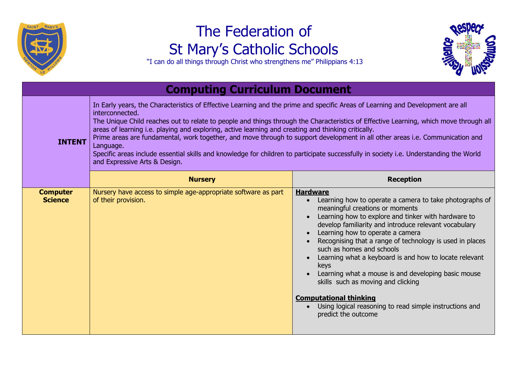

## The Federation of St Mary's Catholic Schools



"I can do all things through Christ who strengthens me" Philippians 4:13

| <b>Computing Curriculum Document</b> |                                                                                                                                                                                                                                                                                                                                                                                                                                                                                                                                                                                                                                                                                                                            |                                                                                                                                                                                                                                                                                                                                                                                                                                                                                                                                                                                                                                                             |
|--------------------------------------|----------------------------------------------------------------------------------------------------------------------------------------------------------------------------------------------------------------------------------------------------------------------------------------------------------------------------------------------------------------------------------------------------------------------------------------------------------------------------------------------------------------------------------------------------------------------------------------------------------------------------------------------------------------------------------------------------------------------------|-------------------------------------------------------------------------------------------------------------------------------------------------------------------------------------------------------------------------------------------------------------------------------------------------------------------------------------------------------------------------------------------------------------------------------------------------------------------------------------------------------------------------------------------------------------------------------------------------------------------------------------------------------------|
| <b>INTENT</b>                        | In Early years, the Characteristics of Effective Learning and the prime and specific Areas of Learning and Development are all<br>interconnected.<br>The Unique Child reaches out to relate to people and things through the Characteristics of Effective Learning, which move through all<br>areas of learning i.e. playing and exploring, active learning and creating and thinking critically.<br>Prime areas are fundamental, work together, and move through to support development in all other areas i.e. Communication and<br>Language.<br>Specific areas include essential skills and knowledge for children to participate successfully in society i.e. Understanding the World<br>and Expressive Arts & Design. |                                                                                                                                                                                                                                                                                                                                                                                                                                                                                                                                                                                                                                                             |
|                                      | <b>Nursery</b>                                                                                                                                                                                                                                                                                                                                                                                                                                                                                                                                                                                                                                                                                                             | <b>Reception</b>                                                                                                                                                                                                                                                                                                                                                                                                                                                                                                                                                                                                                                            |
| <b>Computer</b><br><b>Science</b>    | Nursery have access to simple age-appropriate software as part<br>of their provision.                                                                                                                                                                                                                                                                                                                                                                                                                                                                                                                                                                                                                                      | <b>Hardware</b><br>• Learning how to operate a camera to take photographs of<br>meaningful creations or moments<br>Learning how to explore and tinker with hardware to<br>develop familiarity and introduce relevant vocabulary<br>Learning how to operate a camera<br>Recognising that a range of technology is used in places<br>such as homes and schools<br>Learning what a keyboard is and how to locate relevant<br>keys<br>Learning what a mouse is and developing basic mouse<br>$\bullet$<br>skills such as moving and clicking<br><b>Computational thinking</b><br>Using logical reasoning to read simple instructions and<br>predict the outcome |